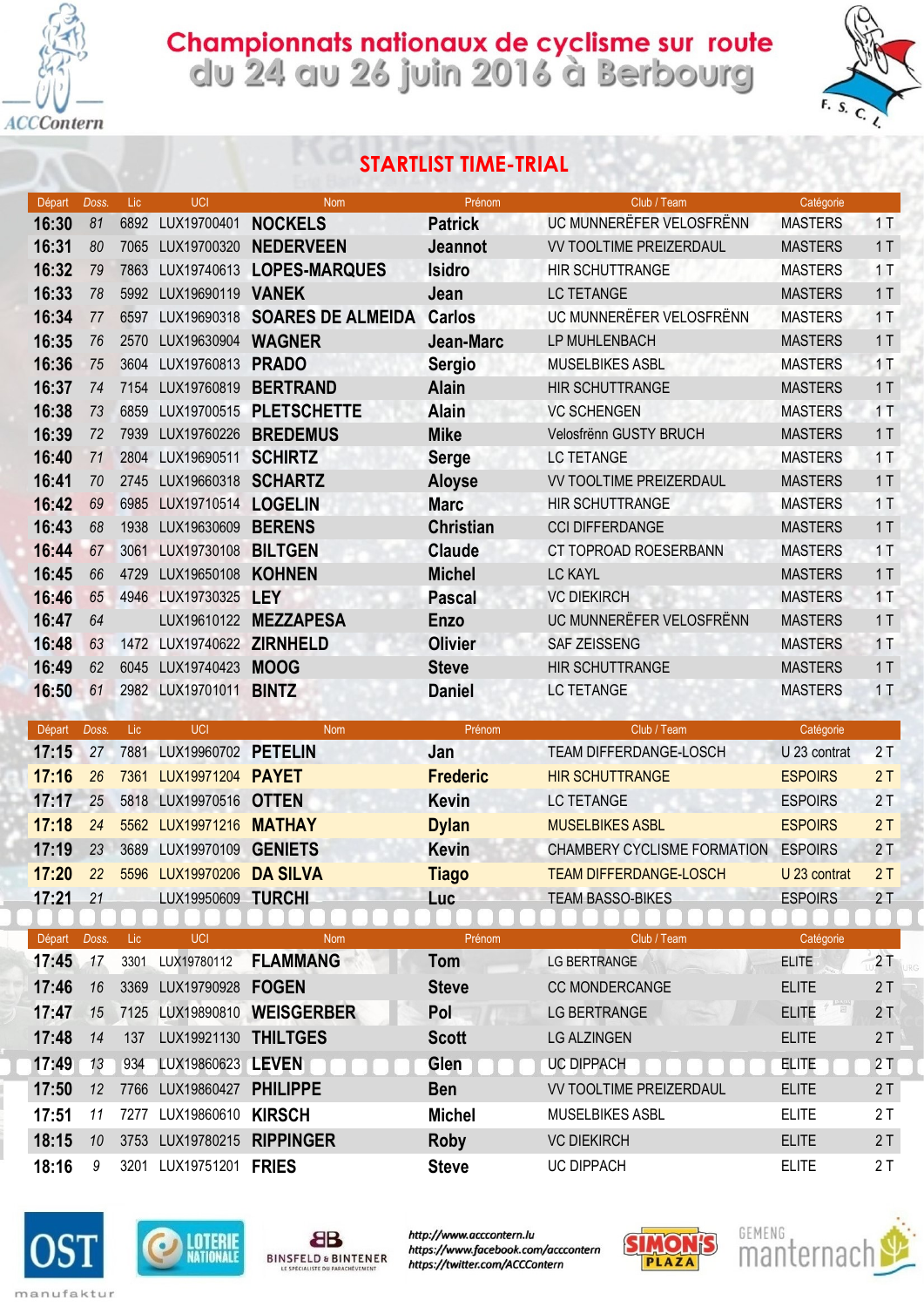

## Championnats nationaux de cyclisme sur route<br>clu 24 au 26 juin 2016 à Berbourg



## STARTLIST TIME-TRIAL

| Départ         | Doss.   | Lic. | UCI                       | <b>Nom</b>                  | Prénom                      | Club / Team                      | Catégorie                    |          |
|----------------|---------|------|---------------------------|-----------------------------|-----------------------------|----------------------------------|------------------------------|----------|
| 16:30          | 81      | 6892 | LUX19700401               | <b>NOCKELS</b>              | <b>Patrick</b>              | UC MUNNERËFER VELOSFRËNN         | <b>MASTERS</b>               | 1T       |
| 16:31          | 80      | 7065 | LUX19700320               | <b>NEDERVEEN</b>            | <b>Jeannot</b>              | <b>VV TOOLTIME PREIZERDAUL</b>   | <b>MASTERS</b>               | 1T       |
| 16:32          | 79      | 7863 |                           | LUX19740613 LOPES-MARQUES   | <b>Isidro</b>               | <b>HIR SCHUTTRANGE</b>           | <b>MASTERS</b>               | 1T       |
| 16:33          | 78      | 5992 | LUX19690119 VANEK         |                             | Jean                        | <b>LC TETANGE</b>                | <b>MASTERS</b>               | 1T       |
| 16:34          | 77      | 6597 | LUX19690318               | <b>SOARES DE ALMEIDA</b>    | <b>Carlos</b>               | UC MUNNERËFER VELOSFRËNN         | <b>MASTERS</b>               | 1T       |
| 16:35          | 76      | 2570 | LUX19630904               | <b>WAGNER</b>               | Jean-Marc                   | LP MUHLENBACH                    | <b>MASTERS</b>               | 1T       |
| 16:36          | 75      | 3604 | LUX19760813               | <b>PRADO</b>                | <b>Sergio</b>               | <b>MUSELBIKES ASBL</b>           | <b>MASTERS</b>               | 1T       |
| 16:37          | 74      | 7154 | LUX19760819               | <b>BERTRAND</b>             | <b>Alain</b>                | <b>HIR SCHUTTRANGE</b>           | <b>MASTERS</b>               | 1T       |
| 16:38          | 73      | 6859 | LUX19700515               | <b>PLETSCHETTE</b>          | <b>Alain</b>                | <b>VC SCHENGEN</b>               | <b>MASTERS</b>               | 1T       |
| 16:39          | 72      | 7939 | LUX19760226               | <b>BREDEMUS</b>             | <b>Mike</b>                 | Velosfrënn GUSTY BRUCH           | <b>MASTERS</b>               | 1T       |
| 16:40          | 71      | 2804 | LUX19690511               | <b>SCHIRTZ</b>              | <b>Serge</b>                | <b>LC TETANGE</b>                | <b>MASTERS</b>               | 1T       |
| 16:41          | 70      | 2745 | LUX19660318               | <b>SCHARTZ</b>              | <b>Aloyse</b>               | <b>VV TOOLTIME PREIZERDAUL</b>   | <b>MASTERS</b>               | 1T       |
| 16:42          | 69      | 6985 | LUX19710514               | <b>LOGELIN</b>              | <b>Marc</b>                 | HIR SCHUTTRANGE                  | <b>MASTERS</b>               | 1T       |
| 16:43          | 68      | 1938 | LUX19630609               | <b>BERENS</b>               | <b>Christian</b>            | <b>CCI DIFFERDANGE</b>           | <b>MASTERS</b>               | 1T       |
| 16:44          | 67      | 3061 | LUX19730108               | <b>BILTGEN</b>              | <b>Claude</b>               | CT TOPROAD ROESERBANN            | <b>MASTERS</b>               | 1T       |
| 16:45          | 66      | 4729 | LUX19650108               | <b>KOHNEN</b>               | <b>Michel</b>               | <b>LC KAYL</b>                   | <b>MASTERS</b>               | 1T       |
| 16:46          | 65      | 4946 | LUX19730325               | <b>LEY</b>                  | <b>Pascal</b>               | <b>VC DIEKIRCH</b>               | <b>MASTERS</b>               | 1T       |
| 16:47          | 64      |      |                           | LUX19610122 MEZZAPESA       | Enzo                        | UC MUNNEREFER VELOSFRENN         | <b>MASTERS</b>               | 1T       |
| 16:48          | 63      |      | 1472 LUX19740622 ZIRNHELD |                             | <b>Olivier</b>              | <b>SAF ZEISSENG</b>              | <b>MASTERS</b>               | 1T       |
| 16:49          | 62      |      | 6045 LUX19740423          | <b>MOOG</b>                 | <b>Steve</b>                | <b>HIR SCHUTTRANGE</b>           | <b>MASTERS</b>               | 1T       |
| 16:50          | 61      |      | 2982 LUX19701011          | <b>BINTZ</b>                | <b>Daniel</b>               | LC TETANGE                       | <b>MASTERS</b>               | 1T       |
| Départ         | Doss.   | Lic  | UCI                       | <b>Nom</b>                  | Prénom                      | Club / Team                      | Catégorie                    |          |
| 17:15          | 27      | 7881 | LUX19960702               | <b>PETELIN</b>              | Jan                         | TEAM DIFFERDANGE-LOSCH           | U 23 contrat                 | 2T       |
| 17:16          | 26      | 7361 | LUX19971204               | <b>PAYET</b>                | <b>Frederic</b>             | <b>HIR SCHUTTRANGE</b>           | <b>ESPOIRS</b>               | 2T       |
| 17:17          | 25      | 5818 | LUX19970516               | <b>OTTEN</b>                | <b>Kevin</b>                | <b>LC TETANGE</b>                | <b>ESPOIRS</b>               | 2T       |
| 17:18          | 24      | 5562 | LUX19971216               | <b>MATHAY</b>               | <b>Dylan</b>                | <b>MUSELBIKES ASBL</b>           | <b>ESPOIRS</b>               | 2T       |
| 17:19          | 23      | 3689 | LUX19970109               | <b>GENIETS</b>              | <b>Kevin</b>                | CHAMBERY CYCLISME FORMATION      | <b>ESPOIRS</b>               | 2T       |
| 17:20          | 22      |      | 5596 LUX19970206          | <b>DA SILVA</b>             |                             | <b>TEAM DIFFERDANGE-LOSCH</b>    | U 23 contrat                 | 2T       |
|                |         |      |                           |                             | <b>Tiago</b>                |                                  |                              |          |
| 17:21          | 21      |      | LUX19950609 TURCHI        |                             | Luc                         | <b>TEAM BASSO-BIKES</b>          | <b>ESPOIRS</b>               | 2T       |
| Départ         | Doss.   | Lic  | UCI                       | Nom                         | Prénom                      | Club / Team                      | Catégorie                    |          |
| 17:45          | 17      | 3301 | LUX19780112               | <b>FLAMMANG</b>             | Tom                         | LG BERTRANGE                     | <b>ELITE</b>                 | 2T       |
| 17:46          | 16      |      | 3369 LUX19790928 FOGEN    |                             | <b>Steve</b>                | <b>CC MONDERCANGE</b>            | <b>ELITE</b>                 | 2T       |
| 17:47          | 15      |      |                           | 7125 LUX19890810 WEISGERBER | Pol                         | LG BERTRANGE                     | $\Box$<br><b>ELITE</b>       | 2T       |
| 17:48          | 14      | 137  | LUX19921130 THILTGES      |                             | <b>Scott</b>                | <b>LG ALZINGEN</b>               | <b>ELITE</b>                 | 2T       |
| 17:49          | 13      | 934  | LUX19860623 LEVEN         |                             | Glen                        | <b>UC DIPPACH</b>                | <b>ELITE</b>                 | 2T       |
| 17:50          | 12      |      | 7766 LUX19860427 PHILIPPE |                             | <b>Ben</b>                  | <b>VV TOOLTIME PREIZERDAUL</b>   | <b>ELITE</b>                 | 2T       |
|                |         |      |                           |                             |                             |                                  |                              |          |
| 17:51          |         |      |                           |                             |                             |                                  |                              |          |
|                | 11      |      | 7277 LUX19860610 KIRSCH   |                             | <b>Michel</b>               | <b>MUSELBIKES ASBL</b>           | <b>ELITE</b>                 | 2T       |
| 18:15<br>18:16 | 10<br>9 |      | 3201 LUX19751201 FRIES    | 3753 LUX19780215 RIPPINGER  | <b>Roby</b><br><b>Steve</b> | <b>VC DIEKIRCH</b><br>UC DIPPACH | <b>ELITE</b><br><b>ELITE</b> | 2T<br>2T |







http://www.acccontern.lu https://www.facebook.com/acccontern https://twitter.com/ACCContern